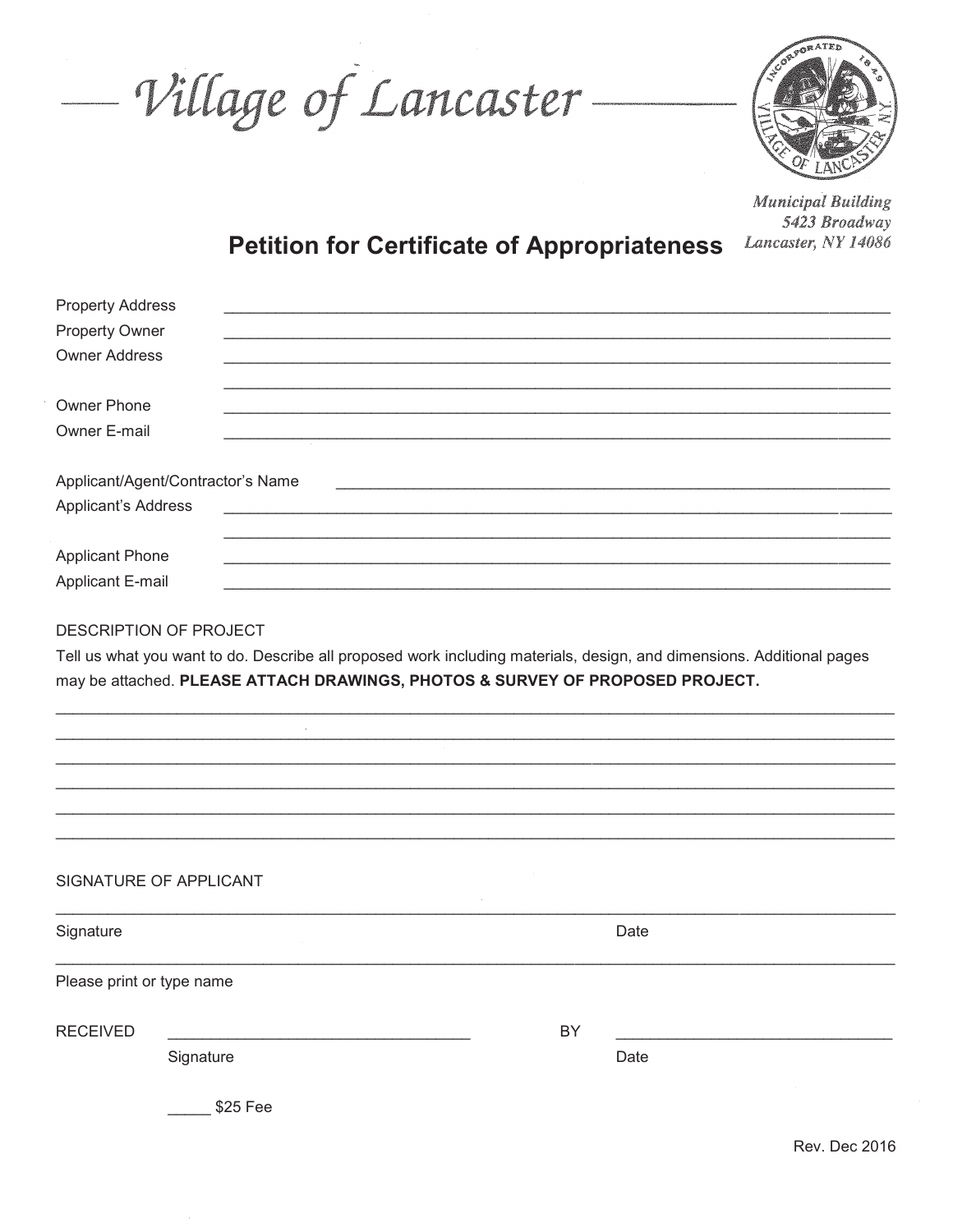- Village of Lancaster-



**Municipal Building** 5423 Broadway Lancaster, NY 14086

## **Petition for Certificate of Appropriateness**

| <b>Property Address</b><br><b>Property Owner</b><br><b>Owner Address</b> |                                                                               |    |                                                                                                                       |
|--------------------------------------------------------------------------|-------------------------------------------------------------------------------|----|-----------------------------------------------------------------------------------------------------------------------|
| Owner Phone<br>Owner E-mail                                              |                                                                               |    |                                                                                                                       |
| Applicant/Agent/Contractor's Name<br><b>Applicant's Address</b>          |                                                                               |    |                                                                                                                       |
| <b>Applicant Phone</b><br>Applicant E-mail                               |                                                                               |    |                                                                                                                       |
| DESCRIPTION OF PROJECT                                                   | may be attached. PLEASE ATTACH DRAWINGS, PHOTOS & SURVEY OF PROPOSED PROJECT. |    | Tell us what you want to do. Describe all proposed work including materials, design, and dimensions. Additional pages |
|                                                                          |                                                                               |    |                                                                                                                       |
|                                                                          |                                                                               |    |                                                                                                                       |
|                                                                          |                                                                               |    |                                                                                                                       |
|                                                                          |                                                                               |    |                                                                                                                       |
| SIGNATURE OF APPLICANT                                                   |                                                                               |    |                                                                                                                       |
| Signature                                                                |                                                                               |    | Date                                                                                                                  |
| Please print or type name                                                |                                                                               |    |                                                                                                                       |
| <b>RECEIVED</b>                                                          |                                                                               | BY |                                                                                                                       |
| Signature                                                                |                                                                               |    | Date                                                                                                                  |
|                                                                          | \$25 Fee                                                                      |    |                                                                                                                       |